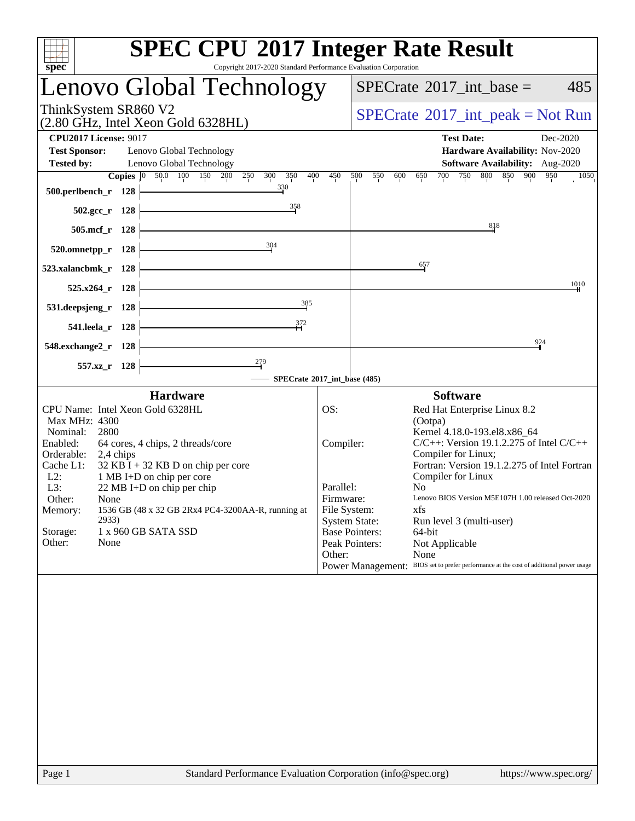| <b>SPEC CPU®2017 Integer Rate Result</b><br>spec<br>Copyright 2017-2020 Standard Performance Evaluation Corporation                                                                                                                                                                                                                                                                                                                |                                                                                                                                         |                                                                                                                                                                                                                                                                                                                                                                                                                                                                |  |  |  |  |  |
|------------------------------------------------------------------------------------------------------------------------------------------------------------------------------------------------------------------------------------------------------------------------------------------------------------------------------------------------------------------------------------------------------------------------------------|-----------------------------------------------------------------------------------------------------------------------------------------|----------------------------------------------------------------------------------------------------------------------------------------------------------------------------------------------------------------------------------------------------------------------------------------------------------------------------------------------------------------------------------------------------------------------------------------------------------------|--|--|--|--|--|
| Lenovo Global Technology                                                                                                                                                                                                                                                                                                                                                                                                           |                                                                                                                                         | $SPECrate^{\circ}2017\_int\_base =$<br>485                                                                                                                                                                                                                                                                                                                                                                                                                     |  |  |  |  |  |
| ThinkSystem SR860 V2<br>$(2.80 \text{ GHz}, \text{Intel Xeon Gold } 6328 \text{HL})$                                                                                                                                                                                                                                                                                                                                               |                                                                                                                                         | $SPECrate^{\circledcirc}2017\_int\_peak = Not Run$                                                                                                                                                                                                                                                                                                                                                                                                             |  |  |  |  |  |
| <b>CPU2017 License: 9017</b><br><b>Test Sponsor:</b><br>Lenovo Global Technology<br><b>Tested by:</b><br>Lenovo Global Technology<br>400                                                                                                                                                                                                                                                                                           |                                                                                                                                         | <b>Test Date:</b><br>Dec-2020<br>Hardware Availability: Nov-2020<br>Software Availability: Aug-2020                                                                                                                                                                                                                                                                                                                                                            |  |  |  |  |  |
| Copies 0 50.0 100 150 200 250 300 350<br>$\frac{330}{4}$<br>500.perlbench_r 128<br>358<br>$502.\text{gcc}_r$ 128                                                                                                                                                                                                                                                                                                                   | 450                                                                                                                                     | 700 750 800 850 900<br>950<br>500<br>550<br>600<br>650<br>1050                                                                                                                                                                                                                                                                                                                                                                                                 |  |  |  |  |  |
| 505.mcf_r 128                                                                                                                                                                                                                                                                                                                                                                                                                      |                                                                                                                                         | 818                                                                                                                                                                                                                                                                                                                                                                                                                                                            |  |  |  |  |  |
| 304<br>$520.0$ mnetpp_r 128<br>523.xalancbmk_r 128                                                                                                                                                                                                                                                                                                                                                                                 |                                                                                                                                         | $\frac{657}{2}$                                                                                                                                                                                                                                                                                                                                                                                                                                                |  |  |  |  |  |
| $525.x264$ r 128                                                                                                                                                                                                                                                                                                                                                                                                                   |                                                                                                                                         | 1010                                                                                                                                                                                                                                                                                                                                                                                                                                                           |  |  |  |  |  |
| 385<br>531.deepsjeng_r 128                                                                                                                                                                                                                                                                                                                                                                                                         |                                                                                                                                         |                                                                                                                                                                                                                                                                                                                                                                                                                                                                |  |  |  |  |  |
| <u> 1989 - Johann Barbara, martxa a</u><br>541.leela_r 128                                                                                                                                                                                                                                                                                                                                                                         |                                                                                                                                         |                                                                                                                                                                                                                                                                                                                                                                                                                                                                |  |  |  |  |  |
| 548.exchange2_r 128<br>$\frac{279}{2}$<br>557.xz_r 128                                                                                                                                                                                                                                                                                                                                                                             |                                                                                                                                         | 924                                                                                                                                                                                                                                                                                                                                                                                                                                                            |  |  |  |  |  |
| SPECrate®2017_int_base (485)                                                                                                                                                                                                                                                                                                                                                                                                       |                                                                                                                                         |                                                                                                                                                                                                                                                                                                                                                                                                                                                                |  |  |  |  |  |
| <b>Hardware</b>                                                                                                                                                                                                                                                                                                                                                                                                                    |                                                                                                                                         | <b>Software</b>                                                                                                                                                                                                                                                                                                                                                                                                                                                |  |  |  |  |  |
| CPU Name: Intel Xeon Gold 6328HL<br>Max MHz: 4300<br>Nominal:<br>2800<br>Enabled:<br>64 cores, 4 chips, 2 threads/core<br>Orderable:<br>2,4 chips<br>$32$ KB I + 32 KB D on chip per core<br>Cache L1:<br>$L2$ :<br>1 MB I+D on chip per core<br>L3:<br>22 MB I+D on chip per chip<br>Other:<br>None<br>1536 GB (48 x 32 GB 2Rx4 PC4-3200AA-R, running at<br>Memory:<br>2933)<br>Storage:<br>1 x 960 GB SATA SSD<br>Other:<br>None | OS:<br>Compiler:<br>Parallel:<br>Firmware:<br>File System:<br><b>System State:</b><br><b>Base Pointers:</b><br>Peak Pointers:<br>Other: | Red Hat Enterprise Linux 8.2<br>(Ootpa)<br>Kernel 4.18.0-193.el8.x86_64<br>$C/C++$ : Version 19.1.2.275 of Intel $C/C++$<br>Compiler for Linux;<br>Fortran: Version 19.1.2.275 of Intel Fortran<br>Compiler for Linux<br>N <sub>0</sub><br>Lenovo BIOS Version M5E107H 1.00 released Oct-2020<br>xfs<br>Run level 3 (multi-user)<br>64-bit<br>Not Applicable<br>None<br>Power Management: BIOS set to prefer performance at the cost of additional power usage |  |  |  |  |  |
|                                                                                                                                                                                                                                                                                                                                                                                                                                    |                                                                                                                                         |                                                                                                                                                                                                                                                                                                                                                                                                                                                                |  |  |  |  |  |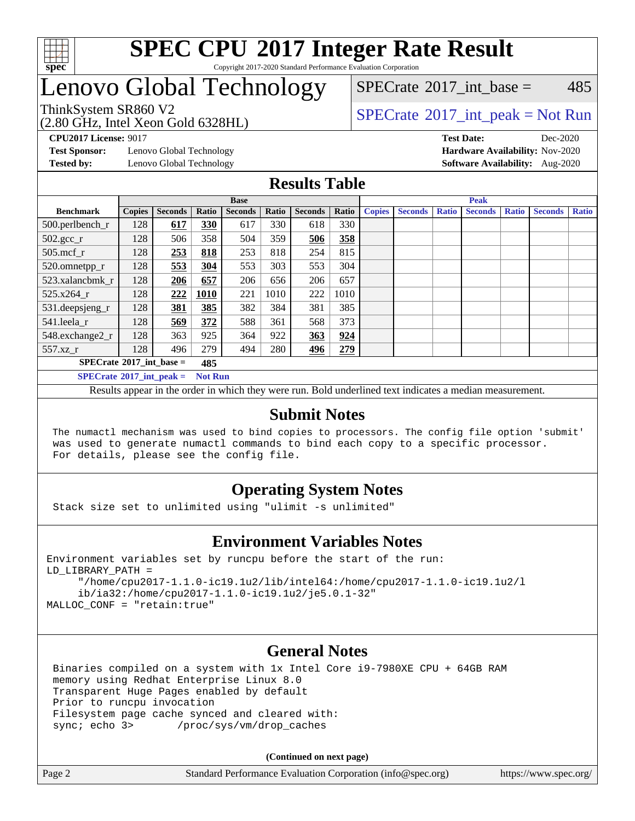

## **[SPEC CPU](http://www.spec.org/auto/cpu2017/Docs/result-fields.html#SPECCPU2017IntegerRateResult)[2017 Integer Rate Result](http://www.spec.org/auto/cpu2017/Docs/result-fields.html#SPECCPU2017IntegerRateResult)** Copyright 2017-2020 Standard Performance Evaluation Corporation

## Lenovo Global Technology

[SPECrate](http://www.spec.org/auto/cpu2017/Docs/result-fields.html#SPECrate2017intbase)<sup>®</sup>2017 int base = 485

(2.80 GHz, Intel Xeon Gold 6328HL)

ThinkSystem SR860 V2<br>  $\begin{array}{c} \text{SPECrate} \textcircled{2017\_int\_peak} = \text{Not Run} \end{array}$  $\begin{array}{c} \text{SPECrate} \textcircled{2017\_int\_peak} = \text{Not Run} \end{array}$  $\begin{array}{c} \text{SPECrate} \textcircled{2017\_int\_peak} = \text{Not Run} \end{array}$ 

**[Test Sponsor:](http://www.spec.org/auto/cpu2017/Docs/result-fields.html#TestSponsor)** Lenovo Global Technology **[Hardware Availability:](http://www.spec.org/auto/cpu2017/Docs/result-fields.html#HardwareAvailability)** Nov-2020

**[CPU2017 License:](http://www.spec.org/auto/cpu2017/Docs/result-fields.html#CPU2017License)** 9017 **[Test Date:](http://www.spec.org/auto/cpu2017/Docs/result-fields.html#TestDate)** Dec-2020 **[Tested by:](http://www.spec.org/auto/cpu2017/Docs/result-fields.html#Testedby)** Lenovo Global Technology **[Software Availability:](http://www.spec.org/auto/cpu2017/Docs/result-fields.html#SoftwareAvailability)** Aug-2020

## **[Results Table](http://www.spec.org/auto/cpu2017/Docs/result-fields.html#ResultsTable)**

|                                                     | <b>Base</b>   |                |       |                |       | <b>Peak</b>    |       |               |                |              |                |              |                |              |
|-----------------------------------------------------|---------------|----------------|-------|----------------|-------|----------------|-------|---------------|----------------|--------------|----------------|--------------|----------------|--------------|
| <b>Benchmark</b>                                    | <b>Copies</b> | <b>Seconds</b> | Ratio | <b>Seconds</b> | Ratio | <b>Seconds</b> | Ratio | <b>Copies</b> | <b>Seconds</b> | <b>Ratio</b> | <b>Seconds</b> | <b>Ratio</b> | <b>Seconds</b> | <b>Ratio</b> |
| 500.perlbench_r                                     | 128           | 617            | 330   | 617            | 330   | 618            | 330   |               |                |              |                |              |                |              |
| $502.\text{gcc}$ <sub>r</sub>                       | 128           | 506            | 358   | 504            | 359   | 506            | 358   |               |                |              |                |              |                |              |
| $505$ .mcf r                                        | 128           | 253            | 818   | 253            | 818   | 254            | 815   |               |                |              |                |              |                |              |
| 520.omnetpp_r                                       | 128           | 553            | 304   | 553            | 303   | 553            | 304   |               |                |              |                |              |                |              |
| 523.xalancbmk_r                                     | 128           | 206            | 657   | 206            | 656   | 206            | 657   |               |                |              |                |              |                |              |
| 525.x264 r                                          | 128           | 222            | 1010  | 221            | 1010  | 222            | 1010  |               |                |              |                |              |                |              |
| $531.$ deepsjeng $_r$                               | 128           | 381            | 385   | 382            | 384   | 381            | 385   |               |                |              |                |              |                |              |
| 541.leela r                                         | 128           | 569            | 372   | 588            | 361   | 568            | 373   |               |                |              |                |              |                |              |
| 548.exchange2_r                                     | 128           | 363            | 925   | 364            | 922   | <b>363</b>     | 924   |               |                |              |                |              |                |              |
| 557.xz                                              | 128           | 496            | 279   | 494            | 280   | <u>496</u>     | 279   |               |                |              |                |              |                |              |
| $SPECrate^{\circ}2017$ int base =<br>485            |               |                |       |                |       |                |       |               |                |              |                |              |                |              |
| $SPECrate^{\circ}2017$ int peak =<br><b>Not Run</b> |               |                |       |                |       |                |       |               |                |              |                |              |                |              |

Results appear in the [order in which they were run](http://www.spec.org/auto/cpu2017/Docs/result-fields.html#RunOrder). Bold underlined text [indicates a median measurement](http://www.spec.org/auto/cpu2017/Docs/result-fields.html#Median).

## **[Submit Notes](http://www.spec.org/auto/cpu2017/Docs/result-fields.html#SubmitNotes)**

 The numactl mechanism was used to bind copies to processors. The config file option 'submit' was used to generate numactl commands to bind each copy to a specific processor. For details, please see the config file.

## **[Operating System Notes](http://www.spec.org/auto/cpu2017/Docs/result-fields.html#OperatingSystemNotes)**

Stack size set to unlimited using "ulimit -s unlimited"

## **[Environment Variables Notes](http://www.spec.org/auto/cpu2017/Docs/result-fields.html#EnvironmentVariablesNotes)**

```
Environment variables set by runcpu before the start of the run:
LD_LIBRARY_PATH =
      "/home/cpu2017-1.1.0-ic19.1u2/lib/intel64:/home/cpu2017-1.1.0-ic19.1u2/l
      ib/ia32:/home/cpu2017-1.1.0-ic19.1u2/je5.0.1-32"
MALLOC_CONF = "retain:true"
```
## **[General Notes](http://www.spec.org/auto/cpu2017/Docs/result-fields.html#GeneralNotes)**

 Binaries compiled on a system with 1x Intel Core i9-7980XE CPU + 64GB RAM memory using Redhat Enterprise Linux 8.0 Transparent Huge Pages enabled by default Prior to runcpu invocation Filesystem page cache synced and cleared with: sync; echo 3> /proc/sys/vm/drop\_caches

**(Continued on next page)**

| Page 2 | Standard Performance Evaluation Corporation (info@spec.org) | https://www.spec.org/ |
|--------|-------------------------------------------------------------|-----------------------|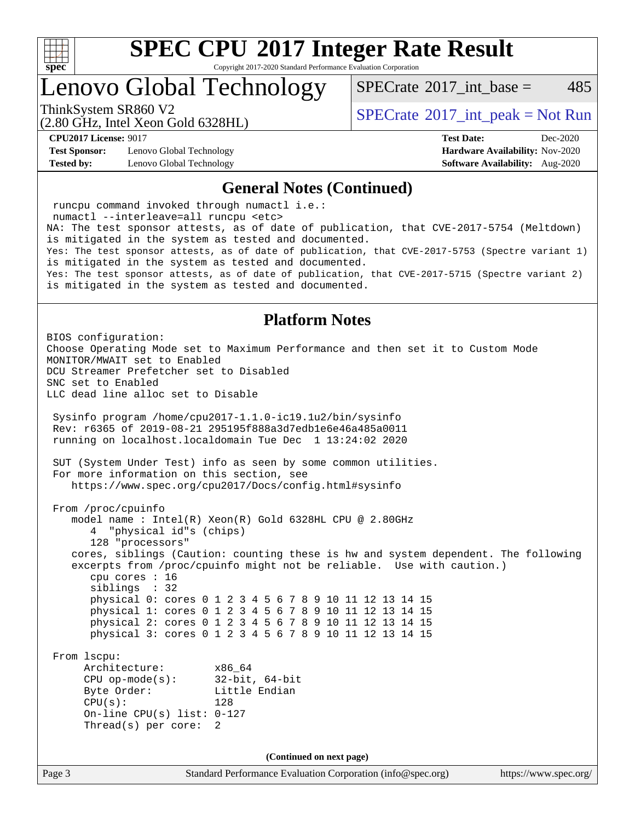

Copyright 2017-2020 Standard Performance Evaluation Corporation

Lenovo Global Technology

[SPECrate](http://www.spec.org/auto/cpu2017/Docs/result-fields.html#SPECrate2017intbase)<sup>®</sup>2017 int base = 485

(2.80 GHz, Intel Xeon Gold 6328HL)

ThinkSystem SR860 V2<br>  $\begin{array}{c} \text{SPECrate} \textcircled{2017\_int\_peak} = \text{Not Run} \end{array}$  $\begin{array}{c} \text{SPECrate} \textcircled{2017\_int\_peak} = \text{Not Run} \end{array}$  $\begin{array}{c} \text{SPECrate} \textcircled{2017\_int\_peak} = \text{Not Run} \end{array}$ 

**[Test Sponsor:](http://www.spec.org/auto/cpu2017/Docs/result-fields.html#TestSponsor)** Lenovo Global Technology **[Hardware Availability:](http://www.spec.org/auto/cpu2017/Docs/result-fields.html#HardwareAvailability)** Nov-2020 **[Tested by:](http://www.spec.org/auto/cpu2017/Docs/result-fields.html#Testedby)** Lenovo Global Technology **[Software Availability:](http://www.spec.org/auto/cpu2017/Docs/result-fields.html#SoftwareAvailability)** Aug-2020

**[CPU2017 License:](http://www.spec.org/auto/cpu2017/Docs/result-fields.html#CPU2017License)** 9017 **[Test Date:](http://www.spec.org/auto/cpu2017/Docs/result-fields.html#TestDate)** Dec-2020

### **[General Notes \(Continued\)](http://www.spec.org/auto/cpu2017/Docs/result-fields.html#GeneralNotes)**

Page 3 Standard Performance Evaluation Corporation [\(info@spec.org\)](mailto:info@spec.org) <https://www.spec.org/> runcpu command invoked through numactl i.e.: numactl --interleave=all runcpu <etc> NA: The test sponsor attests, as of date of publication, that CVE-2017-5754 (Meltdown) is mitigated in the system as tested and documented. Yes: The test sponsor attests, as of date of publication, that CVE-2017-5753 (Spectre variant 1) is mitigated in the system as tested and documented. Yes: The test sponsor attests, as of date of publication, that CVE-2017-5715 (Spectre variant 2) is mitigated in the system as tested and documented. **[Platform Notes](http://www.spec.org/auto/cpu2017/Docs/result-fields.html#PlatformNotes)** BIOS configuration: Choose Operating Mode set to Maximum Performance and then set it to Custom Mode MONITOR/MWAIT set to Enabled DCU Streamer Prefetcher set to Disabled SNC set to Enabled LLC dead line alloc set to Disable Sysinfo program /home/cpu2017-1.1.0-ic19.1u2/bin/sysinfo Rev: r6365 of 2019-08-21 295195f888a3d7edb1e6e46a485a0011 running on localhost.localdomain Tue Dec 1 13:24:02 2020 SUT (System Under Test) info as seen by some common utilities. For more information on this section, see <https://www.spec.org/cpu2017/Docs/config.html#sysinfo> From /proc/cpuinfo model name : Intel(R) Xeon(R) Gold 6328HL CPU @ 2.80GHz 4 "physical id"s (chips) 128 "processors" cores, siblings (Caution: counting these is hw and system dependent. The following excerpts from /proc/cpuinfo might not be reliable. Use with caution.) cpu cores : 16 siblings : 32 physical 0: cores 0 1 2 3 4 5 6 7 8 9 10 11 12 13 14 15 physical 1: cores 0 1 2 3 4 5 6 7 8 9 10 11 12 13 14 15 physical 2: cores 0 1 2 3 4 5 6 7 8 9 10 11 12 13 14 15 physical 3: cores 0 1 2 3 4 5 6 7 8 9 10 11 12 13 14 15 From lscpu: Architecture: x86\_64 CPU op-mode(s): 32-bit, 64-bit Byte Order: Little Endian  $CPU(s):$  128 On-line CPU(s) list: 0-127 Thread(s) per core: 2 **(Continued on next page)**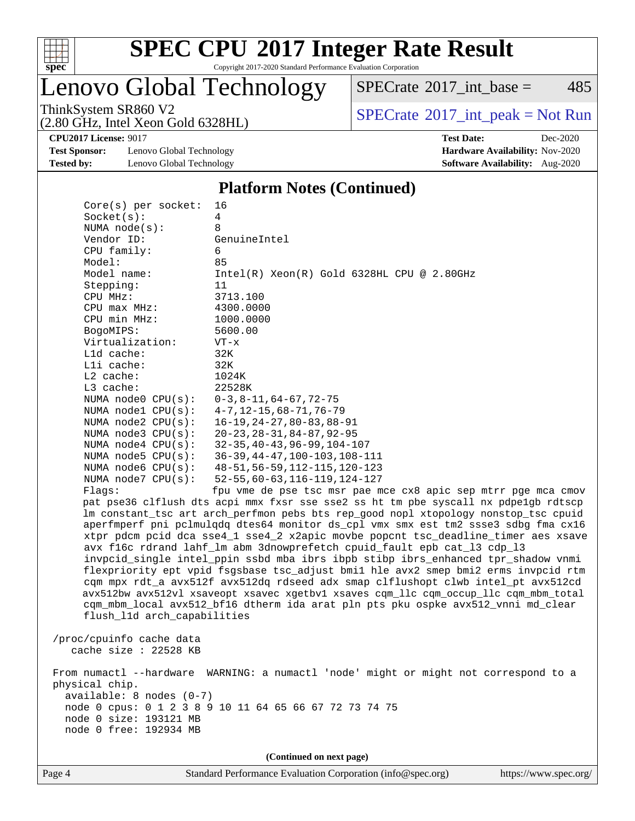

Copyright 2017-2020 Standard Performance Evaluation Corporation

## Lenovo Global Technology

 $SPECTate$ <sup>®</sup>[2017\\_int\\_base =](http://www.spec.org/auto/cpu2017/Docs/result-fields.html#SPECrate2017intbase) 485

(2.80 GHz, Intel Xeon Gold 6328HL)

ThinkSystem SR860 V2<br>  $(2.80 \text{ GHz, Intel Yoon Gold } 6328 \text{ HI})$  [SPECrate](http://www.spec.org/auto/cpu2017/Docs/result-fields.html#SPECrate2017intpeak)®[2017\\_int\\_peak = N](http://www.spec.org/auto/cpu2017/Docs/result-fields.html#SPECrate2017intpeak)ot Run

**[Test Sponsor:](http://www.spec.org/auto/cpu2017/Docs/result-fields.html#TestSponsor)** Lenovo Global Technology **[Hardware Availability:](http://www.spec.org/auto/cpu2017/Docs/result-fields.html#HardwareAvailability)** Nov-2020 **[Tested by:](http://www.spec.org/auto/cpu2017/Docs/result-fields.html#Testedby)** Lenovo Global Technology **[Software Availability:](http://www.spec.org/auto/cpu2017/Docs/result-fields.html#SoftwareAvailability)** Aug-2020

**[CPU2017 License:](http://www.spec.org/auto/cpu2017/Docs/result-fields.html#CPU2017License)** 9017 **[Test Date:](http://www.spec.org/auto/cpu2017/Docs/result-fields.html#TestDate)** Dec-2020

## **[Platform Notes \(Continued\)](http://www.spec.org/auto/cpu2017/Docs/result-fields.html#PlatformNotes)**

| $Core(s)$ per socket:       | 16                                                                                   |
|-----------------------------|--------------------------------------------------------------------------------------|
| Socket(s):                  | 4                                                                                    |
| NUMA $node(s):$             | 8                                                                                    |
| Vendor ID:                  | GenuineIntel                                                                         |
| CPU family:                 | 6                                                                                    |
| Model:                      | 85                                                                                   |
| Model name:                 | $Intel(R) Xeon(R) Gold 6328HL CPU @ 2.80GHz$                                         |
| Stepping:                   | 11                                                                                   |
| CPU MHz:                    | 3713.100                                                                             |
| CPU max MHz:                | 4300.0000                                                                            |
| CPU min MHz:                | 1000.0000                                                                            |
| BogoMIPS:                   | 5600.00                                                                              |
| Virtualization:             | $VT - x$                                                                             |
| L1d cache:                  | 32K                                                                                  |
| Lli cache:                  | 32K                                                                                  |
| $L2$ cache:                 | 1024K                                                                                |
| L3 cache:                   | 22528K                                                                               |
| NUMA node0 CPU(s):          | $0-3, 8-11, 64-67, 72-75$                                                            |
| NUMA nodel CPU(s):          | $4 - 7$ , $12 - 15$ , $68 - 71$ , $76 - 79$                                          |
| NUMA $node2$ $CPU(s):$      | $16 - 19, 24 - 27, 80 - 83, 88 - 91$                                                 |
| NUMA $node3$ $CPU(s):$      | $20 - 23, 28 - 31, 84 - 87, 92 - 95$                                                 |
| NUMA $node4$ $CPU(s):$      | $32 - 35, 40 - 43, 96 - 99, 104 - 107$                                               |
| NUMA node5 CPU(s):          | $36-39, 44-47, 100-103, 108-111$                                                     |
| NUMA node6 CPU(s):          | 48-51, 56-59, 112-115, 120-123                                                       |
| NUMA node7 CPU(s):          | $52 - 55, 60 - 63, 116 - 119, 124 - 127$                                             |
| Flaqs:                      | fpu vme de pse tsc msr pae mce cx8 apic sep mtrr pge mca cmov                        |
|                             | pat pse36 clflush dts acpi mmx fxsr sse sse2 ss ht tm pbe syscall nx pdpelgb rdtscp  |
|                             | lm constant_tsc art arch_perfmon pebs bts rep_good nopl xtopology nonstop_tsc cpuid  |
|                             | aperfmperf pni pclmulqdq dtes64 monitor ds_cpl vmx smx est tm2 ssse3 sdbg fma cx16   |
|                             | xtpr pdcm pcid dca sse4_1 sse4_2 x2apic movbe popcnt tsc_deadline_timer aes xsave    |
|                             | avx f16c rdrand lahf_lm abm 3dnowprefetch cpuid_fault epb cat_13 cdp_13              |
|                             | invpcid_single intel_ppin ssbd mba ibrs ibpb stibp ibrs_enhanced tpr_shadow vnmi     |
|                             | flexpriority ept vpid fsgsbase tsc_adjust bmil hle avx2 smep bmi2 erms invpcid rtm   |
|                             | cqm mpx rdt_a avx512f avx512dq rdseed adx smap clflushopt clwb intel_pt avx512cd     |
|                             | avx512bw avx512vl xsaveopt xsavec xgetbvl xsaves cqm_llc cqm_occup_llc cqm_mbm_total |
|                             | cqm_mbm_local avx512_bf16 dtherm ida arat pln pts pku ospke avx512_vnni md_clear     |
| flush_l1d arch_capabilities |                                                                                      |
|                             |                                                                                      |
| /proc/cpuinfo cache data    |                                                                                      |
| cache size : $22528$ KB     |                                                                                      |
|                             |                                                                                      |
|                             | From numactl --hardware WARNING: a numactl 'node' might or might not correspond to a |
| physical chip.              |                                                                                      |
| $available: 8 nodes (0-7)$  |                                                                                      |
|                             | node 0 cpus: 0 1 2 3 8 9 10 11 64 65 66 67 72 73 74 75                               |
| node 0 size: 193121 MB      |                                                                                      |
| node 0 free: 192934 MB      |                                                                                      |
|                             |                                                                                      |
|                             | (Continued on next page)                                                             |
|                             |                                                                                      |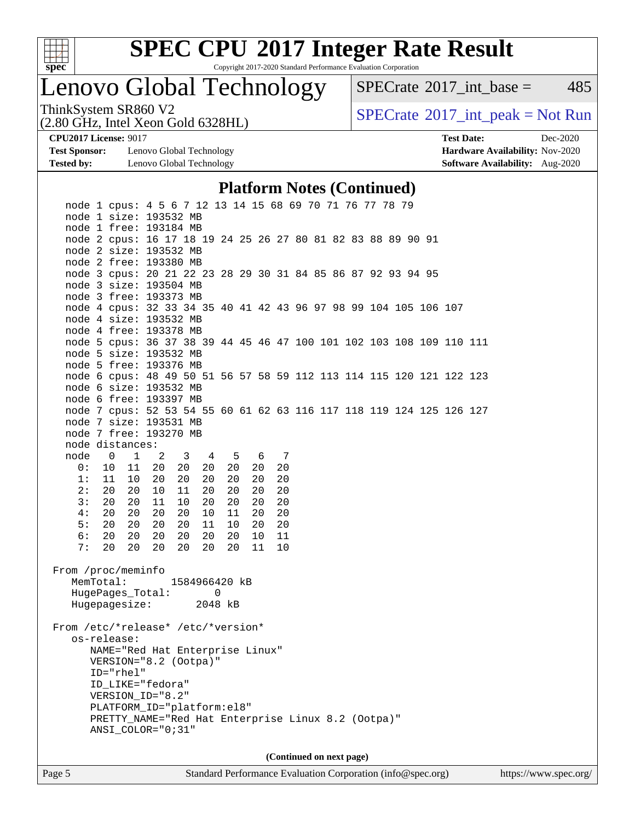

Copyright 2017-2020 Standard Performance Evaluation Corporation

Lenovo Global Technology

 $SPECTate$ <sup>®</sup>[2017\\_int\\_base =](http://www.spec.org/auto/cpu2017/Docs/result-fields.html#SPECrate2017intbase) 485

(2.80 GHz, Intel Xeon Gold 6328HL)

ThinkSystem SR860 V2<br>  $(2.80 \text{ GHz, Intel Yoon Gold } 6328 \text{ HI})$  [SPECrate](http://www.spec.org/auto/cpu2017/Docs/result-fields.html#SPECrate2017intpeak)®[2017\\_int\\_peak = N](http://www.spec.org/auto/cpu2017/Docs/result-fields.html#SPECrate2017intpeak)ot Run

**[Test Sponsor:](http://www.spec.org/auto/cpu2017/Docs/result-fields.html#TestSponsor)** Lenovo Global Technology **[Hardware Availability:](http://www.spec.org/auto/cpu2017/Docs/result-fields.html#HardwareAvailability)** Nov-2020 **[Tested by:](http://www.spec.org/auto/cpu2017/Docs/result-fields.html#Testedby)** Lenovo Global Technology **[Software Availability:](http://www.spec.org/auto/cpu2017/Docs/result-fields.html#SoftwareAvailability)** Aug-2020

**[CPU2017 License:](http://www.spec.org/auto/cpu2017/Docs/result-fields.html#CPU2017License)** 9017 **[Test Date:](http://www.spec.org/auto/cpu2017/Docs/result-fields.html#TestDate)** Dec-2020

### **[Platform Notes \(Continued\)](http://www.spec.org/auto/cpu2017/Docs/result-fields.html#PlatformNotes)**

|                        | node 1 cpus: 4 5 6 7 12 13 14 15 68 69 70 71 76 77 78 79             |
|------------------------|----------------------------------------------------------------------|
| node 1 size: 193532 MB |                                                                      |
| node 1 free: 193184 MB |                                                                      |
|                        | node 2 cpus: 16 17 18 19 24 25 26 27 80 81 82 83 88 89 90 91         |
| node 2 size: 193532 MB |                                                                      |
| node 2 free: 193380 MB |                                                                      |
|                        | node 3 cpus: 20 21 22 23 28 29 30 31 84 85 86 87 92 93 94 95         |
| node 3 size: 193504 MB |                                                                      |
| node 3 free: 193373 MB | node 4 cpus: 32 33 34 35 40 41 42 43 96 97 98 99 104 105 106 107     |
| node 4 size: 193532 MB |                                                                      |
| node 4 free: 193378 MB |                                                                      |
|                        | node 5 cpus: 36 37 38 39 44 45 46 47 100 101 102 103 108 109 110 111 |
|                        |                                                                      |
| node 5 size: 193532 MB |                                                                      |
| node 5 free: 193376 MB |                                                                      |
|                        | node 6 cpus: 48 49 50 51 56 57 58 59 112 113 114 115 120 121 122 123 |
| node 6 size: 193532 MB |                                                                      |
| node 6 free: 193397 MB |                                                                      |
|                        | node 7 cpus: 52 53 54 55 60 61 62 63 116 117 118 119 124 125 126 127 |
| node 7 size: 193531 MB |                                                                      |
| node 7 free: 193270 MB |                                                                      |
| node distances:        |                                                                      |
| $0\qquad1$<br>node     | 2 3<br>4 5 6 7                                                       |
| 0:<br>10 11 20         | 20<br>20<br>20<br>20<br>20                                           |
| 11 10<br>1:            | 20<br>20<br>20<br>20<br>20<br>20                                     |
| 20<br>2:<br>20         | 10<br>11<br>20<br>20<br>20<br>20                                     |
| 3:<br>20<br>20         | 10<br>20<br>20<br>11<br>20<br>20                                     |
| 4:<br>20<br>20         | 20<br>20<br>20<br>20<br>10<br>11                                     |
| 5:<br>20<br>20         | 20 <sub>o</sub><br>20<br>20<br>20<br>11<br>10 <sub>1</sub>           |
| 6:<br>20<br>20         | 20<br>20<br>20<br>20<br>10 <sub>1</sub><br>11                        |
| 7:<br>20<br>20         | 20<br>20<br>20<br>20<br>11<br>10                                     |
|                        |                                                                      |
| From /proc/meminfo     | 1584966420 kB                                                        |
| MemTotal:              |                                                                      |
| HugePages_Total:       | 0                                                                    |
| Hugepagesize:          | 2048 kB                                                              |
|                        | From /etc/*release* /etc/*version*                                   |
| os-release:            |                                                                      |
|                        | NAME="Red Hat Enterprise Linux"                                      |
|                        |                                                                      |
|                        | VERSION="8.2 (Ootpa)"                                                |
| ID="rhel"              |                                                                      |
| ID LIKE="fedora"       |                                                                      |
| VERSION ID="8.2"       |                                                                      |
|                        | PLATFORM_ID="platform:el8"                                           |
|                        | PRETTY_NAME="Red Hat Enterprise Linux 8.2 (Ootpa)"                   |
|                        | $ANSI\_COLOR = "0; 31"$                                              |
|                        |                                                                      |
|                        | (Continued on next page)                                             |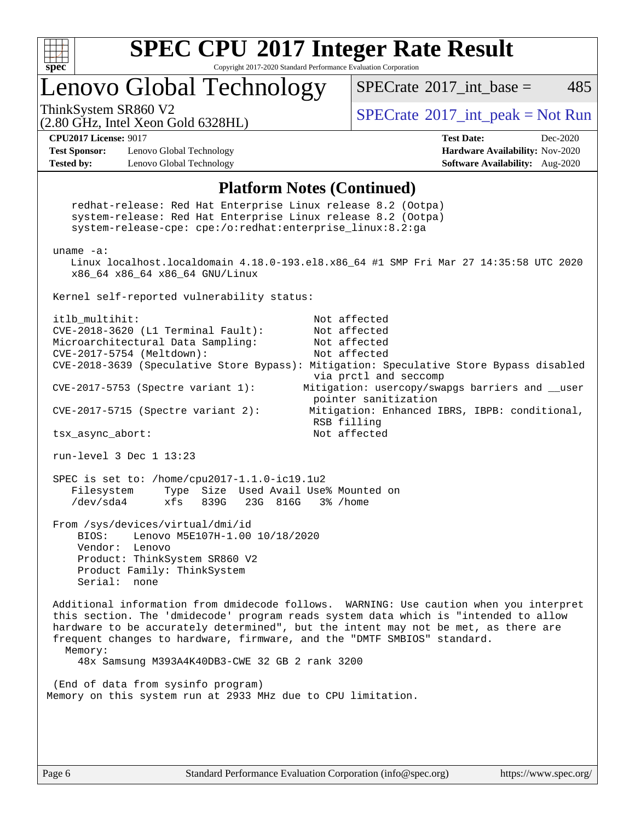

Copyright 2017-2020 Standard Performance Evaluation Corporation

## Lenovo Global Technology

[SPECrate](http://www.spec.org/auto/cpu2017/Docs/result-fields.html#SPECrate2017intbase)<sup>®</sup>2017 int base =  $485$ 

(2.80 GHz, Intel Xeon Gold 6328HL)

ThinkSystem SR860 V2<br>  $\begin{array}{c} \text{SPECTI}_{\text{S}} \text{SFR} = \text{Not Run} \\ \text{SPECTI}_{\text{S}} \text{SFR} = \text{Not Run} \end{array}$ 

**[Test Sponsor:](http://www.spec.org/auto/cpu2017/Docs/result-fields.html#TestSponsor)** Lenovo Global Technology **[Hardware Availability:](http://www.spec.org/auto/cpu2017/Docs/result-fields.html#HardwareAvailability)** Nov-2020 **[Tested by:](http://www.spec.org/auto/cpu2017/Docs/result-fields.html#Testedby)** Lenovo Global Technology **[Software Availability:](http://www.spec.org/auto/cpu2017/Docs/result-fields.html#SoftwareAvailability)** Aug-2020

**[CPU2017 License:](http://www.spec.org/auto/cpu2017/Docs/result-fields.html#CPU2017License)** 9017 **[Test Date:](http://www.spec.org/auto/cpu2017/Docs/result-fields.html#TestDate)** Dec-2020

### **[Platform Notes \(Continued\)](http://www.spec.org/auto/cpu2017/Docs/result-fields.html#PlatformNotes)**

 redhat-release: Red Hat Enterprise Linux release 8.2 (Ootpa) system-release: Red Hat Enterprise Linux release 8.2 (Ootpa) system-release-cpe: cpe:/o:redhat:enterprise\_linux:8.2:ga uname -a: Linux localhost.localdomain 4.18.0-193.el8.x86\_64 #1 SMP Fri Mar 27 14:35:58 UTC 2020 x86\_64 x86\_64 x86\_64 GNU/Linux Kernel self-reported vulnerability status: itlb\_multihit: Not affected CVE-2018-3620 (L1 Terminal Fault): Not affected Microarchitectural Data Sampling: Not affected CVE-2017-5754 (Meltdown): Not affected CVE-2018-3639 (Speculative Store Bypass): Mitigation: Speculative Store Bypass disabled via prctl and seccomp CVE-2017-5753 (Spectre variant 1): Mitigation: usercopy/swapgs barriers and \_\_user pointer sanitization CVE-2017-5715 (Spectre variant 2): Mitigation: Enhanced IBRS, IBPB: conditional, RSB filling tsx\_async\_abort: Not affected run-level 3 Dec 1 13:23 SPEC is set to: /home/cpu2017-1.1.0-ic19.1u2 Filesystem Type Size Used Avail Use% Mounted on<br>
/dev/sda4 xfs 839G 23G 816G 3% /home /dev/sda4 xfs 839G 23G 816G 3% /home From /sys/devices/virtual/dmi/id BIOS: Lenovo M5E107H-1.00 10/18/2020 Vendor: Lenovo Product: ThinkSystem SR860 V2 Product Family: ThinkSystem Serial: none Additional information from dmidecode follows. WARNING: Use caution when you interpret this section. The 'dmidecode' program reads system data which is "intended to allow hardware to be accurately determined", but the intent may not be met, as there are frequent changes to hardware, firmware, and the "DMTF SMBIOS" standard. Memory: 48x Samsung M393A4K40DB3-CWE 32 GB 2 rank 3200 (End of data from sysinfo program) Memory on this system run at 2933 MHz due to CPU limitation.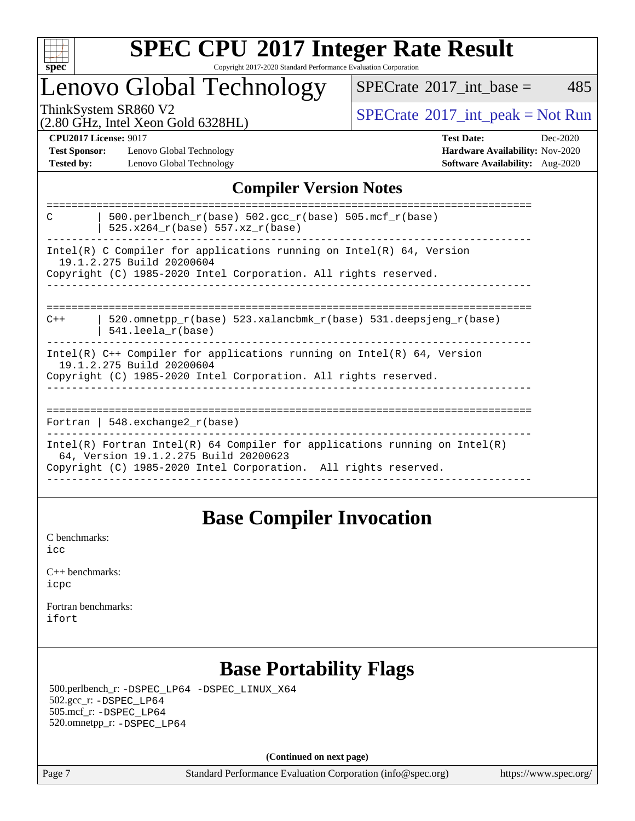

## **[SPEC CPU](http://www.spec.org/auto/cpu2017/Docs/result-fields.html#SPECCPU2017IntegerRateResult)[2017 Integer Rate Result](http://www.spec.org/auto/cpu2017/Docs/result-fields.html#SPECCPU2017IntegerRateResult)** Copyright 2017-2020 Standard Performance Evaluation Corporation

## Lenovo Global Technology

 $SPECTate$ <sup>®</sup>[2017\\_int\\_base =](http://www.spec.org/auto/cpu2017/Docs/result-fields.html#SPECrate2017intbase) 485

(2.80 GHz, Intel Xeon Gold 6328HL)

ThinkSystem SR860 V2<br>  $\begin{array}{c}\n\text{SPECrate} \textcirc 2017\_int\_peak = Not Run \\
\text{SPECrate} \textcirc 2017\_int\_peak = Not Run\n\end{array}$  $\begin{array}{c}\n\text{SPECrate} \textcirc 2017\_int\_peak = Not Run \\
\text{SPECrate} \textcirc 2017\_int\_peak = Not Run\n\end{array}$  $\begin{array}{c}\n\text{SPECrate} \textcirc 2017\_int\_peak = Not Run \\
\text{SPECrate} \textcirc 2017\_int\_peak = Not Run\n\end{array}$ 

**[Test Sponsor:](http://www.spec.org/auto/cpu2017/Docs/result-fields.html#TestSponsor)** Lenovo Global Technology **[Hardware Availability:](http://www.spec.org/auto/cpu2017/Docs/result-fields.html#HardwareAvailability)** Nov-2020 **[Tested by:](http://www.spec.org/auto/cpu2017/Docs/result-fields.html#Testedby)** Lenovo Global Technology **[Software Availability:](http://www.spec.org/auto/cpu2017/Docs/result-fields.html#SoftwareAvailability)** Aug-2020

**[CPU2017 License:](http://www.spec.org/auto/cpu2017/Docs/result-fields.html#CPU2017License)** 9017 **[Test Date:](http://www.spec.org/auto/cpu2017/Docs/result-fields.html#TestDate)** Dec-2020

## **[Compiler Version Notes](http://www.spec.org/auto/cpu2017/Docs/result-fields.html#CompilerVersionNotes)**

| 500.perlbench $r(base)$ 502.qcc $r(base)$ 505.mcf $r(base)$<br>C<br>525.x264 r(base) 557.xz r(base)                                                                                    |
|----------------------------------------------------------------------------------------------------------------------------------------------------------------------------------------|
| Intel(R) C Compiler for applications running on Intel(R) $64$ , Version<br>19.1.2.275 Build 20200604<br>Copyright (C) 1985-2020 Intel Corporation. All rights reserved.                |
| 520.omnetpp $r(base)$ 523.xalancbmk $r(base)$ 531.deepsjeng $r(base)$<br>$C++$<br>$541.$ leela r(base)                                                                                 |
| Intel(R) $C++$ Compiler for applications running on Intel(R) 64, Version<br>19.1.2.275 Build 20200604<br>Copyright (C) 1985-2020 Intel Corporation. All rights reserved.               |
| Fortran   548.exchange2 $r(base)$                                                                                                                                                      |
| Intel(R) Fortran Intel(R) 64 Compiler for applications running on Intel(R)<br>64, Version 19.1.2.275 Build 20200623<br>Copyright (C) 1985-2020 Intel Corporation. All rights reserved. |

## **[Base Compiler Invocation](http://www.spec.org/auto/cpu2017/Docs/result-fields.html#BaseCompilerInvocation)**

[C benchmarks](http://www.spec.org/auto/cpu2017/Docs/result-fields.html#Cbenchmarks): [icc](http://www.spec.org/cpu2017/results/res2020q4/cpu2017-20201207-24547.flags.html#user_CCbase_intel_icc_66fc1ee009f7361af1fbd72ca7dcefbb700085f36577c54f309893dd4ec40d12360134090235512931783d35fd58c0460139e722d5067c5574d8eaf2b3e37e92)

| $C_{++}$ benchmarks: |  |
|----------------------|--|
| icpc                 |  |

[Fortran benchmarks](http://www.spec.org/auto/cpu2017/Docs/result-fields.html#Fortranbenchmarks): [ifort](http://www.spec.org/cpu2017/results/res2020q4/cpu2017-20201207-24547.flags.html#user_FCbase_intel_ifort_8111460550e3ca792625aed983ce982f94888b8b503583aa7ba2b8303487b4d8a21a13e7191a45c5fd58ff318f48f9492884d4413fa793fd88dd292cad7027ca)

## **[Base Portability Flags](http://www.spec.org/auto/cpu2017/Docs/result-fields.html#BasePortabilityFlags)**

 500.perlbench\_r: [-DSPEC\\_LP64](http://www.spec.org/cpu2017/results/res2020q4/cpu2017-20201207-24547.flags.html#b500.perlbench_r_basePORTABILITY_DSPEC_LP64) [-DSPEC\\_LINUX\\_X64](http://www.spec.org/cpu2017/results/res2020q4/cpu2017-20201207-24547.flags.html#b500.perlbench_r_baseCPORTABILITY_DSPEC_LINUX_X64) 502.gcc\_r: [-DSPEC\\_LP64](http://www.spec.org/cpu2017/results/res2020q4/cpu2017-20201207-24547.flags.html#suite_basePORTABILITY502_gcc_r_DSPEC_LP64) 505.mcf\_r: [-DSPEC\\_LP64](http://www.spec.org/cpu2017/results/res2020q4/cpu2017-20201207-24547.flags.html#suite_basePORTABILITY505_mcf_r_DSPEC_LP64) 520.omnetpp\_r: [-DSPEC\\_LP64](http://www.spec.org/cpu2017/results/res2020q4/cpu2017-20201207-24547.flags.html#suite_basePORTABILITY520_omnetpp_r_DSPEC_LP64)

**(Continued on next page)**

Page 7 Standard Performance Evaluation Corporation [\(info@spec.org\)](mailto:info@spec.org) <https://www.spec.org/>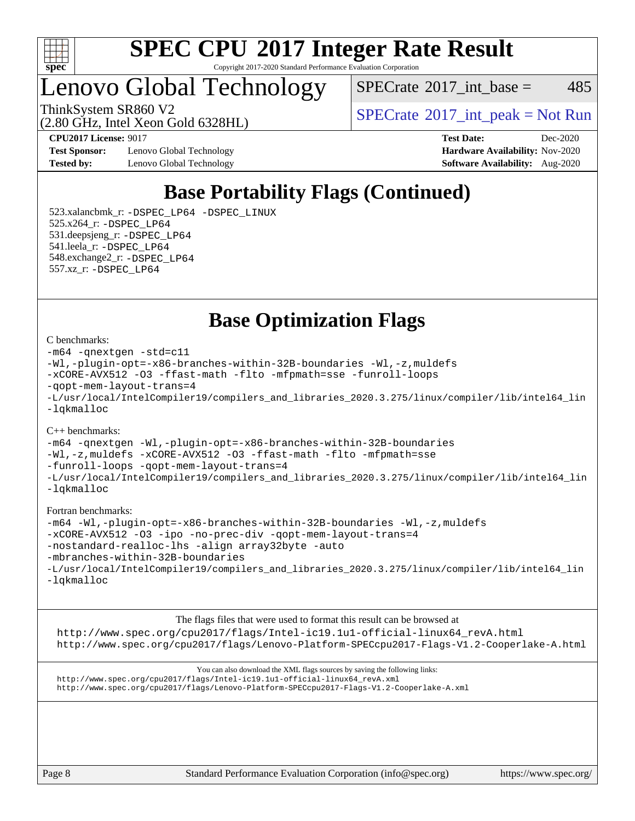

Copyright 2017-2020 Standard Performance Evaluation Corporation

Lenovo Global Technology

 $SPECTate$ <sup>®</sup>[2017\\_int\\_base =](http://www.spec.org/auto/cpu2017/Docs/result-fields.html#SPECrate2017intbase) 485

(2.80 GHz, Intel Xeon Gold 6328HL)

ThinkSystem SR860 V2<br>  $\begin{array}{c} \text{SPECTI}_{\text{S}} \text{SFR} = \text{Not Run} \\ \text{SPECTI}_{\text{S}} \text{SFR} = \text{Not Run} \end{array}$ 

**[Test Sponsor:](http://www.spec.org/auto/cpu2017/Docs/result-fields.html#TestSponsor)** Lenovo Global Technology **[Hardware Availability:](http://www.spec.org/auto/cpu2017/Docs/result-fields.html#HardwareAvailability)** Nov-2020 **[Tested by:](http://www.spec.org/auto/cpu2017/Docs/result-fields.html#Testedby)** Lenovo Global Technology **[Software Availability:](http://www.spec.org/auto/cpu2017/Docs/result-fields.html#SoftwareAvailability)** Aug-2020

**[CPU2017 License:](http://www.spec.org/auto/cpu2017/Docs/result-fields.html#CPU2017License)** 9017 **[Test Date:](http://www.spec.org/auto/cpu2017/Docs/result-fields.html#TestDate)** Dec-2020

## **[Base Portability Flags \(Continued\)](http://www.spec.org/auto/cpu2017/Docs/result-fields.html#BasePortabilityFlags)**

 523.xalancbmk\_r: [-DSPEC\\_LP64](http://www.spec.org/cpu2017/results/res2020q4/cpu2017-20201207-24547.flags.html#suite_basePORTABILITY523_xalancbmk_r_DSPEC_LP64) [-DSPEC\\_LINUX](http://www.spec.org/cpu2017/results/res2020q4/cpu2017-20201207-24547.flags.html#b523.xalancbmk_r_baseCXXPORTABILITY_DSPEC_LINUX) 525.x264\_r: [-DSPEC\\_LP64](http://www.spec.org/cpu2017/results/res2020q4/cpu2017-20201207-24547.flags.html#suite_basePORTABILITY525_x264_r_DSPEC_LP64) 531.deepsjeng\_r: [-DSPEC\\_LP64](http://www.spec.org/cpu2017/results/res2020q4/cpu2017-20201207-24547.flags.html#suite_basePORTABILITY531_deepsjeng_r_DSPEC_LP64) 541.leela\_r: [-DSPEC\\_LP64](http://www.spec.org/cpu2017/results/res2020q4/cpu2017-20201207-24547.flags.html#suite_basePORTABILITY541_leela_r_DSPEC_LP64) 548.exchange2\_r: [-DSPEC\\_LP64](http://www.spec.org/cpu2017/results/res2020q4/cpu2017-20201207-24547.flags.html#suite_basePORTABILITY548_exchange2_r_DSPEC_LP64) 557.xz\_r: [-DSPEC\\_LP64](http://www.spec.org/cpu2017/results/res2020q4/cpu2017-20201207-24547.flags.html#suite_basePORTABILITY557_xz_r_DSPEC_LP64)

**[Base Optimization Flags](http://www.spec.org/auto/cpu2017/Docs/result-fields.html#BaseOptimizationFlags)**

### [C benchmarks](http://www.spec.org/auto/cpu2017/Docs/result-fields.html#Cbenchmarks):

```
-m64 -qnextgen -std=c11
-Wl,-plugin-opt=-x86-branches-within-32B-boundaries -Wl,-z,muldefs
-xCORE-AVX512 -O3 -ffast-math -flto -mfpmath=sse -funroll-loops
-qopt-mem-layout-trans=4
-L/usr/local/IntelCompiler19/compilers_and_libraries_2020.3.275/linux/compiler/lib/intel64_lin
-lqkmalloc
```
### [C++ benchmarks](http://www.spec.org/auto/cpu2017/Docs/result-fields.html#CXXbenchmarks):

[-m64](http://www.spec.org/cpu2017/results/res2020q4/cpu2017-20201207-24547.flags.html#user_CXXbase_m64-icc) [-qnextgen](http://www.spec.org/cpu2017/results/res2020q4/cpu2017-20201207-24547.flags.html#user_CXXbase_f-qnextgen) [-Wl,-plugin-opt=-x86-branches-within-32B-boundaries](http://www.spec.org/cpu2017/results/res2020q4/cpu2017-20201207-24547.flags.html#user_CXXbase_f-x86-branches-within-32B-boundaries_0098b4e4317ae60947b7b728078a624952a08ac37a3c797dfb4ffeb399e0c61a9dd0f2f44ce917e9361fb9076ccb15e7824594512dd315205382d84209e912f3) [-Wl,-z,muldefs](http://www.spec.org/cpu2017/results/res2020q4/cpu2017-20201207-24547.flags.html#user_CXXbase_link_force_multiple1_b4cbdb97b34bdee9ceefcfe54f4c8ea74255f0b02a4b23e853cdb0e18eb4525ac79b5a88067c842dd0ee6996c24547a27a4b99331201badda8798ef8a743f577) [-xCORE-AVX512](http://www.spec.org/cpu2017/results/res2020q4/cpu2017-20201207-24547.flags.html#user_CXXbase_f-xCORE-AVX512) [-O3](http://www.spec.org/cpu2017/results/res2020q4/cpu2017-20201207-24547.flags.html#user_CXXbase_f-O3) [-ffast-math](http://www.spec.org/cpu2017/results/res2020q4/cpu2017-20201207-24547.flags.html#user_CXXbase_f-ffast-math) [-flto](http://www.spec.org/cpu2017/results/res2020q4/cpu2017-20201207-24547.flags.html#user_CXXbase_f-flto) [-mfpmath=sse](http://www.spec.org/cpu2017/results/res2020q4/cpu2017-20201207-24547.flags.html#user_CXXbase_f-mfpmath_70eb8fac26bde974f8ab713bc9086c5621c0b8d2f6c86f38af0bd7062540daf19db5f3a066d8c6684be05d84c9b6322eb3b5be6619d967835195b93d6c02afa1) [-funroll-loops](http://www.spec.org/cpu2017/results/res2020q4/cpu2017-20201207-24547.flags.html#user_CXXbase_f-funroll-loops) [-qopt-mem-layout-trans=4](http://www.spec.org/cpu2017/results/res2020q4/cpu2017-20201207-24547.flags.html#user_CXXbase_f-qopt-mem-layout-trans_fa39e755916c150a61361b7846f310bcdf6f04e385ef281cadf3647acec3f0ae266d1a1d22d972a7087a248fd4e6ca390a3634700869573d231a252c784941a8) [-L/usr/local/IntelCompiler19/compilers\\_and\\_libraries\\_2020.3.275/linux/compiler/lib/intel64\\_lin](http://www.spec.org/cpu2017/results/res2020q4/cpu2017-20201207-24547.flags.html#user_CXXbase_linkpath_6eb3b1b8be403820338b5b82e7a1c217a861a8962ac718a6253be1483b50620487664a39a847caf560d84a6b8bab7cca33d9f414525a12ede1e9473db34a3d08) [-lqkmalloc](http://www.spec.org/cpu2017/results/res2020q4/cpu2017-20201207-24547.flags.html#user_CXXbase_qkmalloc_link_lib_79a818439969f771c6bc311cfd333c00fc099dad35c030f5aab9dda831713d2015205805422f83de8875488a2991c0a156aaa600e1f9138f8fc37004abc96dc5)

### [Fortran benchmarks:](http://www.spec.org/auto/cpu2017/Docs/result-fields.html#Fortranbenchmarks)

```
-m64 -Wl,-plugin-opt=-x86-branches-within-32B-boundaries -Wl,-z,muldefs
-xCORE-AVX512 -O3 -ipo -no-prec-div -qopt-mem-layout-trans=4
-nostandard-realloc-lhs -align array32byte -auto
-mbranches-within-32B-boundaries
-L/usr/local/IntelCompiler19/compilers_and_libraries_2020.3.275/linux/compiler/lib/intel64_lin
-lqkmalloc
```
[The flags files that were used to format this result can be browsed at](tmsearch) [http://www.spec.org/cpu2017/flags/Intel-ic19.1u1-official-linux64\\_revA.html](http://www.spec.org/cpu2017/flags/Intel-ic19.1u1-official-linux64_revA.html) <http://www.spec.org/cpu2017/flags/Lenovo-Platform-SPECcpu2017-Flags-V1.2-Cooperlake-A.html>

[You can also download the XML flags sources by saving the following links:](tmsearch) [http://www.spec.org/cpu2017/flags/Intel-ic19.1u1-official-linux64\\_revA.xml](http://www.spec.org/cpu2017/flags/Intel-ic19.1u1-official-linux64_revA.xml) <http://www.spec.org/cpu2017/flags/Lenovo-Platform-SPECcpu2017-Flags-V1.2-Cooperlake-A.xml>